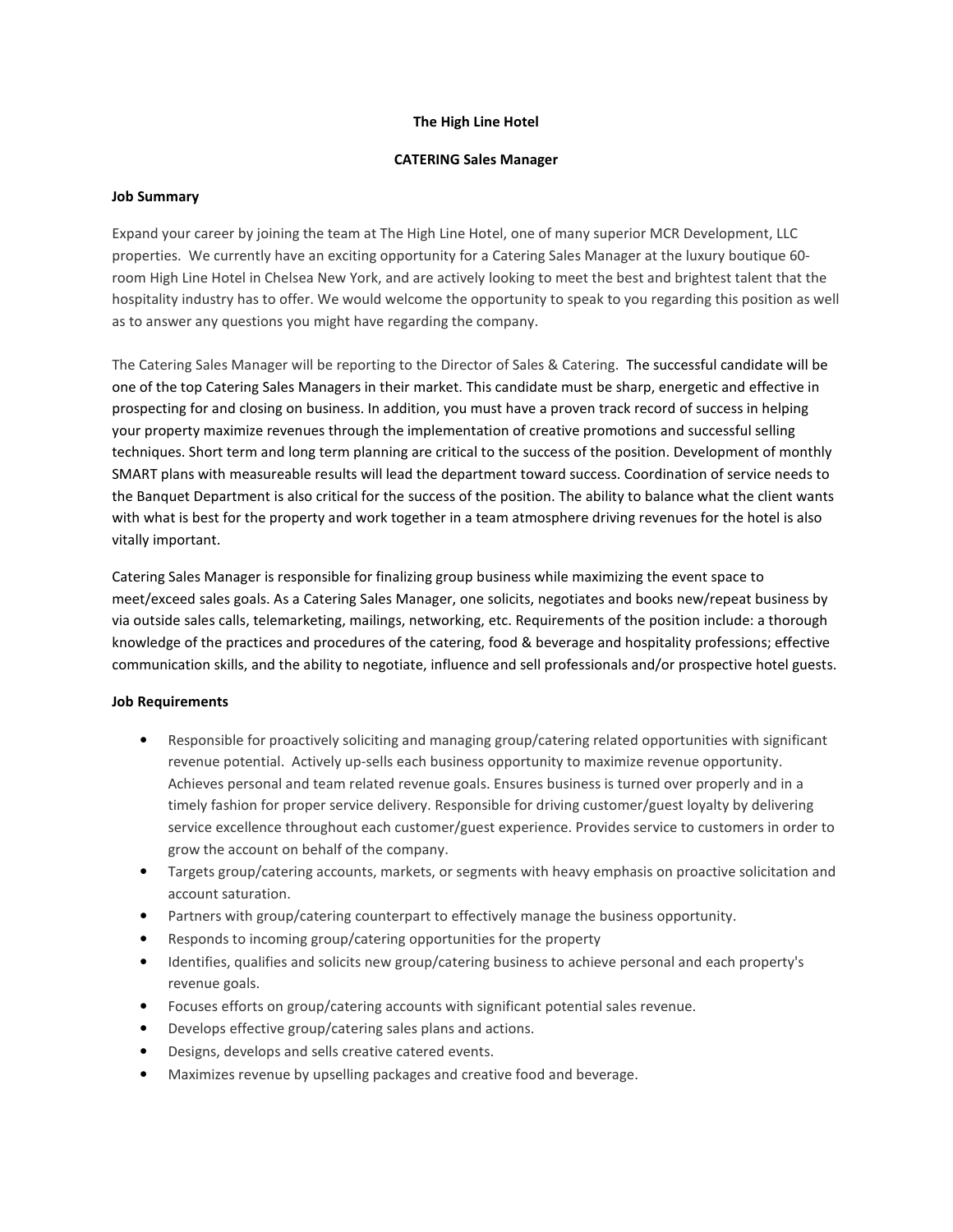## The High Line Hotel

## CATERING Sales Manager

## Job Summary

Expand your career by joining the team at The High Line Hotel, one of many superior MCR Development, LLC properties. We currently have an exciting opportunity for a Catering Sales Manager at the luxury boutique 60 room High Line Hotel in Chelsea New York, and are actively looking to meet the best and brightest talent that the hospitality industry has to offer. We would welcome the opportunity to speak to you regarding this position as well as to answer any questions you might have regarding the company.

The Catering Sales Manager will be reporting to the Director of Sales & Catering. The successful candidate will be one of the top Catering Sales Managers in their market. This candidate must be sharp, energetic and effective in prospecting for and closing on business. In addition, you must have a proven track record of success in helping your property maximize revenues through the implementation of creative promotions and successful selling techniques. Short term and long term planning are critical to the success of the position. Development of monthly SMART plans with measureable results will lead the department toward success. Coordination of service needs to the Banquet Department is also critical for the success of the position. The ability to balance what the client wants with what is best for the property and work together in a team atmosphere driving revenues for the hotel is also vitally important.

Catering Sales Manager is responsible for finalizing group business while maximizing the event space to meet/exceed sales goals. As a Catering Sales Manager, one solicits, negotiates and books new/repeat business by via outside sales calls, telemarketing, mailings, networking, etc. Requirements of the position include: a thorough knowledge of the practices and procedures of the catering, food & beverage and hospitality professions; effective communication skills, and the ability to negotiate, influence and sell professionals and/or prospective hotel guests.

# Job Requirements

- Responsible for proactively soliciting and managing group/catering related opportunities with significant revenue potential. Actively up-sells each business opportunity to maximize revenue opportunity. Achieves personal and team related revenue goals. Ensures business is turned over properly and in a timely fashion for proper service delivery. Responsible for driving customer/guest loyalty by delivering service excellence throughout each customer/guest experience. Provides service to customers in order to grow the account on behalf of the company.
- Targets group/catering accounts, markets, or segments with heavy emphasis on proactive solicitation and account saturation.
- Partners with group/catering counterpart to effectively manage the business opportunity.
- Responds to incoming group/catering opportunities for the property
- Identifies, qualifies and solicits new group/catering business to achieve personal and each property's revenue goals.
- Focuses efforts on group/catering accounts with significant potential sales revenue.
- Develops effective group/catering sales plans and actions.
- Designs, develops and sells creative catered events.
- Maximizes revenue by upselling packages and creative food and beverage.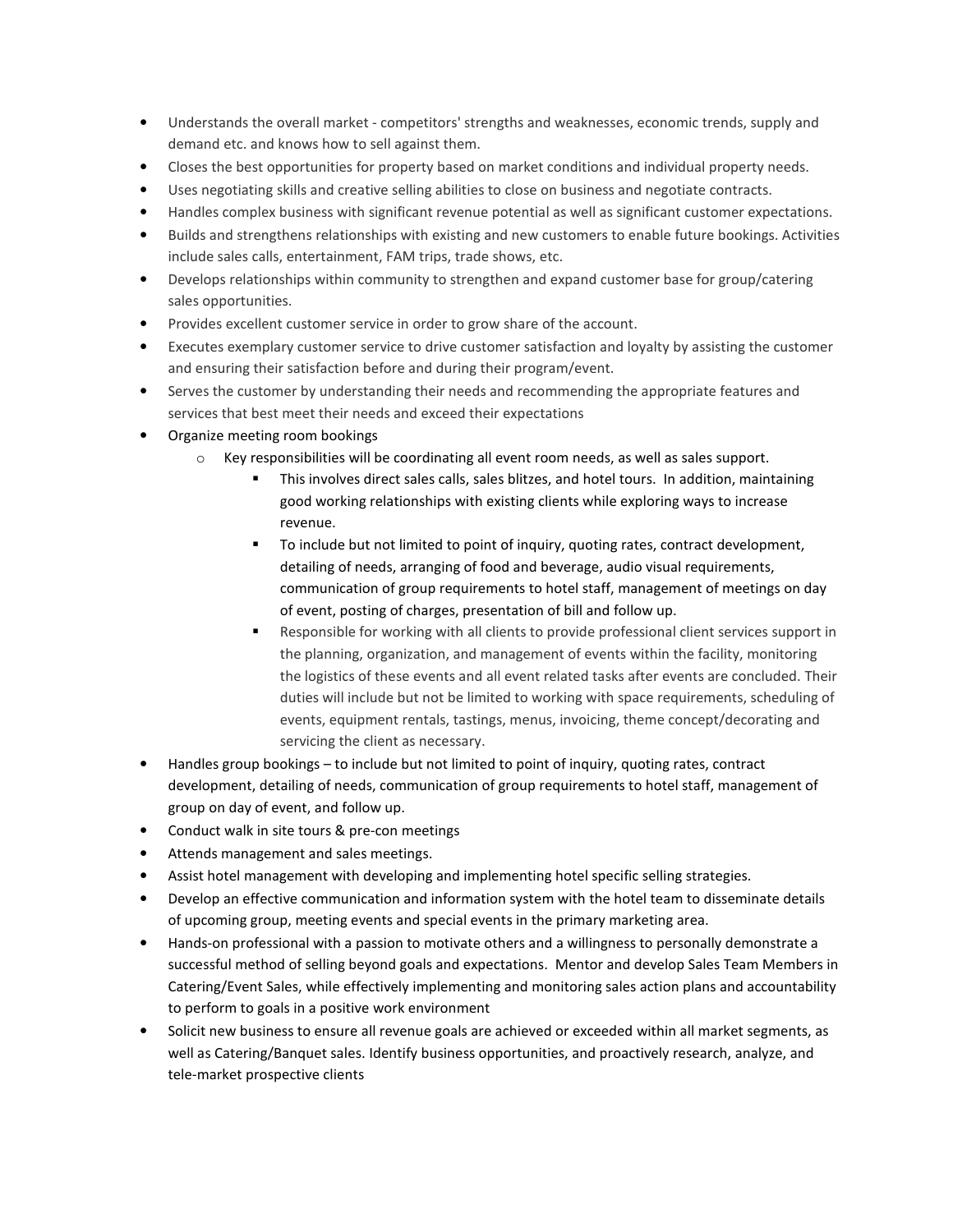- Understands the overall market competitors' strengths and weaknesses, economic trends, supply and demand etc. and knows how to sell against them.
- Closes the best opportunities for property based on market conditions and individual property needs.
- Uses negotiating skills and creative selling abilities to close on business and negotiate contracts.
- Handles complex business with significant revenue potential as well as significant customer expectations.
- Builds and strengthens relationships with existing and new customers to enable future bookings. Activities include sales calls, entertainment, FAM trips, trade shows, etc.
- Develops relationships within community to strengthen and expand customer base for group/catering sales opportunities.
- Provides excellent customer service in order to grow share of the account.
- Executes exemplary customer service to drive customer satisfaction and loyalty by assisting the customer and ensuring their satisfaction before and during their program/event.
- Serves the customer by understanding their needs and recommending the appropriate features and services that best meet their needs and exceed their expectations
- Organize meeting room bookings
	- $\circ$  Key responsibilities will be coordinating all event room needs, as well as sales support.
		- This involves direct sales calls, sales blitzes, and hotel tours. In addition, maintaining good working relationships with existing clients while exploring ways to increase revenue.
		- To include but not limited to point of inquiry, quoting rates, contract development, detailing of needs, arranging of food and beverage, audio visual requirements, communication of group requirements to hotel staff, management of meetings on day of event, posting of charges, presentation of bill and follow up.
		- Responsible for working with all clients to provide professional client services support in the planning, organization, and management of events within the facility, monitoring the logistics of these events and all event related tasks after events are concluded. Their duties will include but not be limited to working with space requirements, scheduling of events, equipment rentals, tastings, menus, invoicing, theme concept/decorating and servicing the client as necessary.
- Handles group bookings to include but not limited to point of inquiry, quoting rates, contract development, detailing of needs, communication of group requirements to hotel staff, management of group on day of event, and follow up.
- Conduct walk in site tours & pre-con meetings
- Attends management and sales meetings.
- Assist hotel management with developing and implementing hotel specific selling strategies.
- Develop an effective communication and information system with the hotel team to disseminate details of upcoming group, meeting events and special events in the primary marketing area.
- Hands-on professional with a passion to motivate others and a willingness to personally demonstrate a successful method of selling beyond goals and expectations. Mentor and develop Sales Team Members in Catering/Event Sales, while effectively implementing and monitoring sales action plans and accountability to perform to goals in a positive work environment
- Solicit new business to ensure all revenue goals are achieved or exceeded within all market segments, as well as Catering/Banquet sales. Identify business opportunities, and proactively research, analyze, and tele-market prospective clients